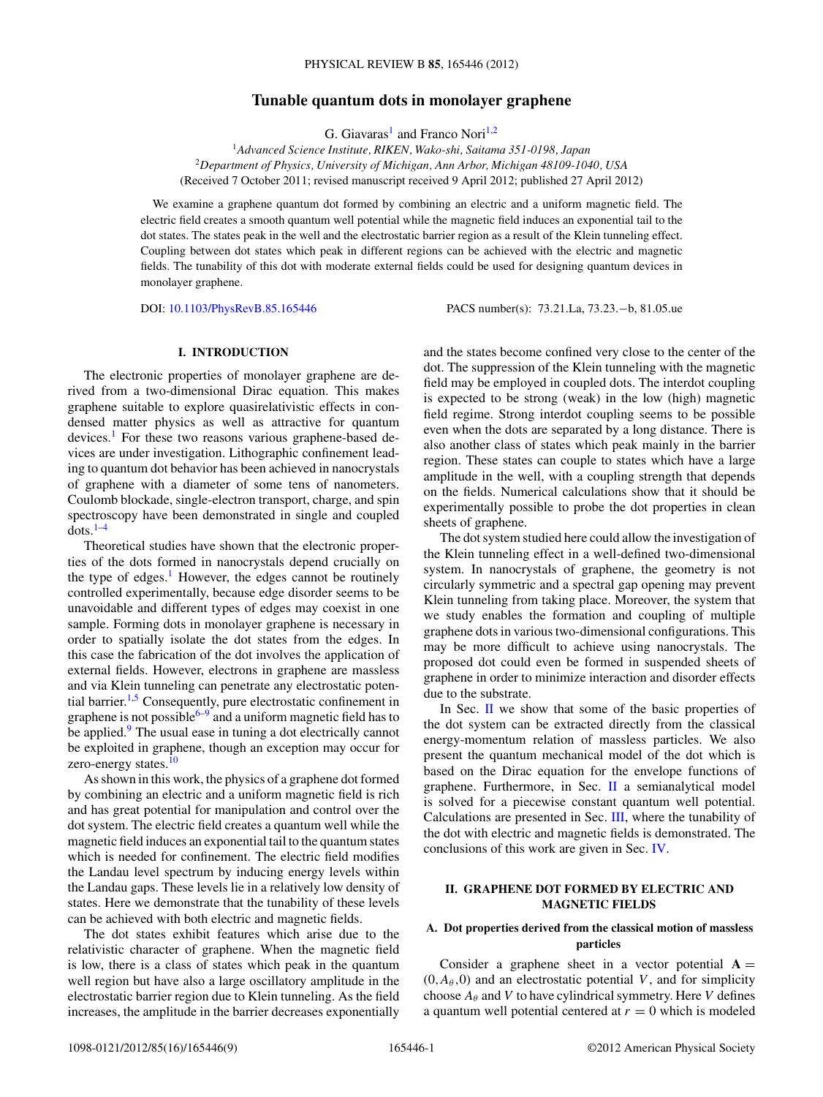## **Tunable quantum dots in monolayer graphene**

G. Giavaras<sup>1</sup> and Franco Nori<sup>1,2</sup>

<span id="page-0-0"></span><sup>1</sup>*Advanced Science Institute, RIKEN, Wako-shi, Saitama 351-0198, Japan* <sup>2</sup>*Department of Physics, University of Michigan, Ann Arbor, Michigan 48109-1040, USA* (Received 7 October 2011; revised manuscript received 9 April 2012; published 27 April 2012)

We examine a graphene quantum dot formed by combining an electric and a uniform magnetic field. The electric field creates a smooth quantum well potential while the magnetic field induces an exponential tail to the dot states. The states peak in the well and the electrostatic barrier region as a result of the Klein tunneling effect. Coupling between dot states which peak in different regions can be achieved with the electric and magnetic fields. The tunability of this dot with moderate external fields could be used for designing quantum devices in monolayer graphene.

DOI: [10.1103/PhysRevB.85.165446](http://dx.doi.org/10.1103/PhysRevB.85.165446) PACS number(s): 73*.*21*.*La, 73*.*23*.*−b, 81*.*05*.*ue

### **I. INTRODUCTION**

The electronic properties of monolayer graphene are derived from a two-dimensional Dirac equation. This makes graphene suitable to explore quasirelativistic effects in condensed matter physics as well as attractive for quantum devices.<sup>[1](#page-7-0)</sup> For these two reasons various graphene-based devices are under investigation. Lithographic confinement leading to quantum dot behavior has been achieved in nanocrystals of graphene with a diameter of some tens of nanometers. Coulomb blockade, single-electron transport, charge, and spin spectroscopy have been demonstrated in single and coupled  $dots^{1-4}$ 

Theoretical studies have shown that the electronic properties of the dots formed in nanocrystals depend crucially on the type of edges.<sup>[1](#page-7-0)</sup> However, the edges cannot be routinely controlled experimentally, because edge disorder seems to be unavoidable and different types of edges may coexist in one sample. Forming dots in monolayer graphene is necessary in order to spatially isolate the dot states from the edges. In this case the fabrication of the dot involves the application of external fields. However, electrons in graphene are massless and via Klein tunneling can penetrate any electrostatic poten-tial barrier.<sup>[1,5](#page-7-0)</sup> Consequently, pure electrostatic confinement in graphene is not possible<sup>6–9</sup> and a uniform magnetic field has to be applied.<sup>[9](#page-7-0)</sup> The usual ease in tuning a dot electrically cannot be exploited in graphene, though an exception may occur for zero-energy states.<sup>[10](#page-7-0)</sup>

As shown in this work, the physics of a graphene dot formed by combining an electric and a uniform magnetic field is rich and has great potential for manipulation and control over the dot system. The electric field creates a quantum well while the magnetic field induces an exponential tail to the quantum states which is needed for confinement. The electric field modifies the Landau level spectrum by inducing energy levels within the Landau gaps. These levels lie in a relatively low density of states. Here we demonstrate that the tunability of these levels can be achieved with both electric and magnetic fields.

The dot states exhibit features which arise due to the relativistic character of graphene. When the magnetic field is low, there is a class of states which peak in the quantum well region but have also a large oscillatory amplitude in the electrostatic barrier region due to Klein tunneling. As the field increases, the amplitude in the barrier decreases exponentially

and the states become confined very close to the center of the dot. The suppression of the Klein tunneling with the magnetic field may be employed in coupled dots. The interdot coupling is expected to be strong (weak) in the low (high) magnetic field regime. Strong interdot coupling seems to be possible even when the dots are separated by a long distance. There is also another class of states which peak mainly in the barrier region. These states can couple to states which have a large amplitude in the well, with a coupling strength that depends on the fields. Numerical calculations show that it should be experimentally possible to probe the dot properties in clean sheets of graphene.

The dot system studied here could allow the investigation of the Klein tunneling effect in a well-defined two-dimensional system. In nanocrystals of graphene, the geometry is not circularly symmetric and a spectral gap opening may prevent Klein tunneling from taking place. Moreover, the system that we study enables the formation and coupling of multiple graphene dots in various two-dimensional configurations. This may be more difficult to achieve using nanocrystals. The proposed dot could even be formed in suspended sheets of graphene in order to minimize interaction and disorder effects due to the substrate.

In Sec. II we show that some of the basic properties of the dot system can be extracted directly from the classical energy-momentum relation of massless particles. We also present the quantum mechanical model of the dot which is based on the Dirac equation for the envelope functions of graphene. Furthermore, in Sec. II a semianalytical model is solved for a piecewise constant quantum well potential. Calculations are presented in Sec. [III,](#page-3-0) where the tunability of the dot with electric and magnetic fields is demonstrated. The conclusions of this work are given in Sec. [IV.](#page-7-0)

# **II. GRAPHENE DOT FORMED BY ELECTRIC AND MAGNETIC FIELDS**

## **A. Dot properties derived from the classical motion of massless particles**

Consider a graphene sheet in a vector potential  $A =$  $(0, A_{\theta}, 0)$  and an electrostatic potential *V*, and for simplicity choose  $A_\theta$  and *V* to have cylindrical symmetry. Here *V* defines a quantum well potential centered at  $r = 0$  which is modeled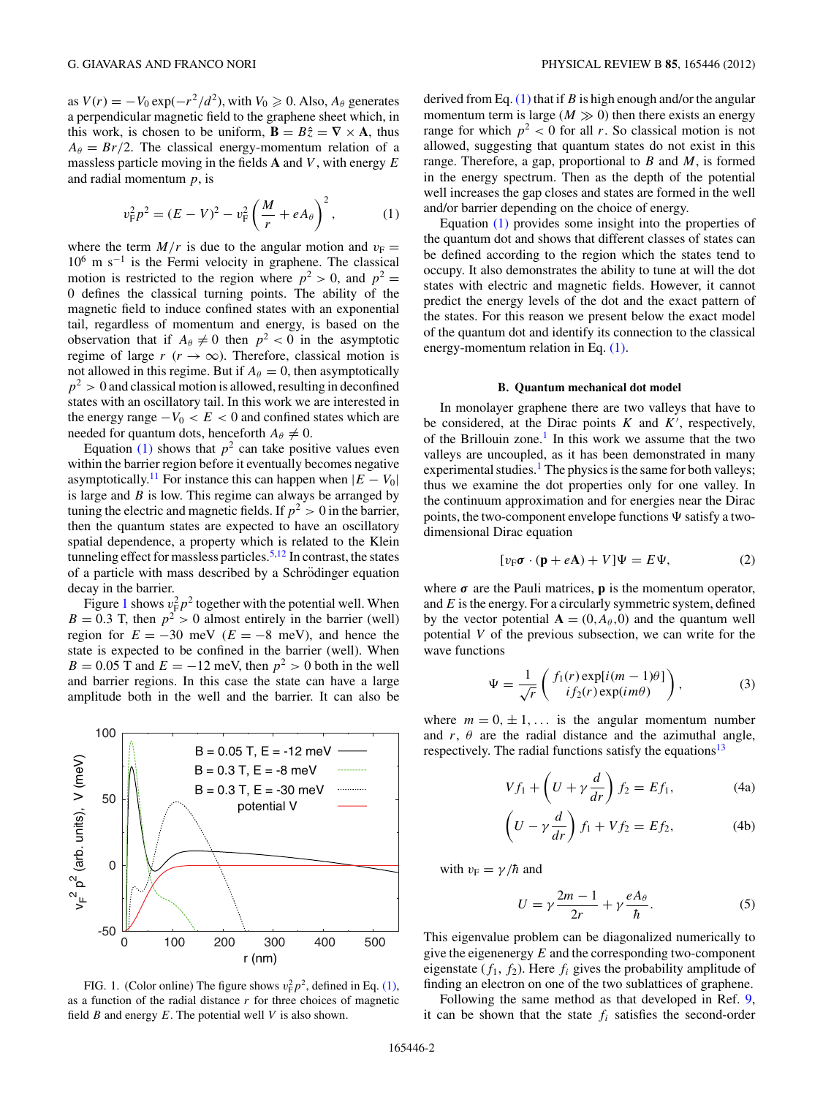<span id="page-1-0"></span>as  $V(r) = -V_0 \exp(-r^2/d^2)$ , with  $V_0 \ge 0$ . Also,  $A_\theta$  generates a perpendicular magnetic field to the graphene sheet which, in this work, is chosen to be uniform,  $\mathbf{B} = B\hat{z} = \nabla \times \mathbf{A}$ , thus  $A_{\theta} = Br/2$ . The classical energy-momentum relation of a massless particle moving in the fields **A** and *V* , with energy *E* and radial momentum *p*, is

$$
v_{\rm F}^2 p^2 = (E - V)^2 - v_{\rm F}^2 \left(\frac{M}{r} + eA_\theta\right)^2, \tag{1}
$$

where the term  $M/r$  is due to the angular motion and  $v_F =$  $10^6$  m s<sup>-1</sup> is the Fermi velocity in graphene. The classical motion is restricted to the region where  $p^2 > 0$ , and  $p^2 =$ 0 defines the classical turning points. The ability of the magnetic field to induce confined states with an exponential tail, regardless of momentum and energy, is based on the observation that if  $A_{\theta} \neq 0$  then  $p^2 < 0$  in the asymptotic regime of large  $r$  ( $r \rightarrow \infty$ ). Therefore, classical motion is not allowed in this regime. But if  $A_{\theta} = 0$ , then asymptotically  $p<sup>2</sup>$  > 0 and classical motion is allowed, resulting in deconfined states with an oscillatory tail. In this work we are interested in the energy range  $-V_0 < E < 0$  and confined states which are needed for quantum dots, henceforth  $A_{\theta} \neq 0$ .

Equation (1) shows that  $p^2$  can take positive values even within the barrier region before it eventually becomes negative asymptotically.<sup>[11](#page-7-0)</sup> For instance this can happen when  $|E - V_0|$ is large and *B* is low. This regime can always be arranged by tuning the electric and magnetic fields. If  $p^2 > 0$  in the barrier, then the quantum states are expected to have an oscillatory spatial dependence, a property which is related to the Klein tunneling effect for massless particles.<sup>[5,12](#page-7-0)</sup> In contrast, the states of a particle with mass described by a Schrödinger equation decay in the barrier.

Figure 1 shows  $v_F^2 p^2$  together with the potential well. When  $B = 0.3$  T, then  $p^2 > 0$  almost entirely in the barrier (well) region for  $E = -30$  meV ( $E = -8$  meV), and hence the state is expected to be confined in the barrier (well). When  $B = 0.05$  T and  $E = -12$  meV, then  $p^2 > 0$  both in the well and barrier regions. In this case the state can have a large amplitude both in the well and the barrier. It can also be



FIG. 1. (Color online) The figure shows  $v_F^2 p^2$ , defined in Eq. (1), as a function of the radial distance *r* for three choices of magnetic field *B* and energy *E*. The potential well *V* is also shown.

derived from Eq. (1) that if *B* is high enough and/or the angular momentum term is large  $(M \gg 0)$  then there exists an energy range for which  $p^2 < 0$  for all *r*. So classical motion is not allowed, suggesting that quantum states do not exist in this range. Therefore, a gap, proportional to *B* and *M*, is formed in the energy spectrum. Then as the depth of the potential well increases the gap closes and states are formed in the well and/or barrier depending on the choice of energy.

Equation (1) provides some insight into the properties of the quantum dot and shows that different classes of states can be defined according to the region which the states tend to occupy. It also demonstrates the ability to tune at will the dot states with electric and magnetic fields. However, it cannot predict the energy levels of the dot and the exact pattern of the states. For this reason we present below the exact model of the quantum dot and identify its connection to the classical energy-momentum relation in Eq. (1).

#### **B. Quantum mechanical dot model**

In monolayer graphene there are two valleys that have to be considered, at the Dirac points  $K$  and  $K'$ , respectively, of the Brillouin zone.<sup>[1](#page-7-0)</sup> In this work we assume that the two valleys are uncoupled, as it has been demonstrated in many experimental studies.<sup>1</sup> The physics is the same for both valleys; thus we examine the dot properties only for one valley. In the continuum approximation and for energies near the Dirac points, the two-component envelope functions  $\Psi$  satisfy a twodimensional Dirac equation

$$
[v_{\rm F}\sigma \cdot (\mathbf{p} + e\mathbf{A}) + V]\Psi = E\Psi, \tag{2}
$$

where  $\sigma$  are the Pauli matrices, **p** is the momentum operator, and *E* is the energy. For a circularly symmetric system, defined by the vector potential  $A = (0, A_{\theta}, 0)$  and the quantum well potential *V* of the previous subsection, we can write for the wave functions

$$
\Psi = \frac{1}{\sqrt{r}} \begin{pmatrix} f_1(r) \exp[i(m-1)\theta] \\ i f_2(r) \exp(im\theta) \end{pmatrix}, \tag{3}
$$

where  $m = 0, \pm 1, \ldots$  is the angular momentum number and  $r$ ,  $\theta$  are the radial distance and the azimuthal angle, respectively. The radial functions satisfy the equations<sup>13</sup>

$$
Vf_1 + \left(U + \gamma \frac{d}{dr}\right) f_2 = Ef_1,
$$
 (4a)

$$
\left(U - \gamma \frac{d}{dr}\right) f_1 + V f_2 = E f_2, \tag{4b}
$$

with  $v_F = \gamma/\hbar$  and

$$
U = \gamma \frac{2m - 1}{2r} + \gamma \frac{eA_{\theta}}{\hbar}.
$$
 (5)

This eigenvalue problem can be diagonalized numerically to give the eigenenergy *E* and the corresponding two-component eigenstate  $(f_1, f_2)$ . Here  $f_i$  gives the probability amplitude of finding an electron on one of the two sublattices of graphene.

Following the same method as that developed in Ref. [9,](#page-7-0) it can be shown that the state  $f_i$  satisfies the second-order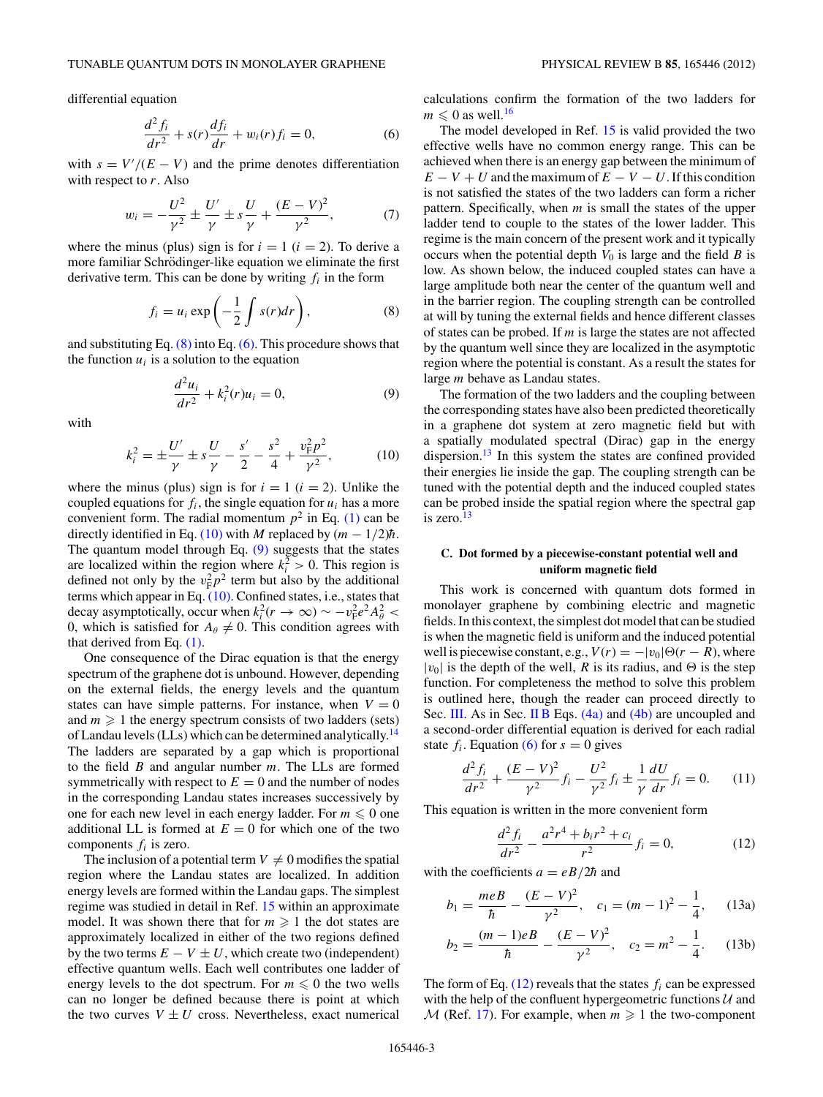<span id="page-2-0"></span>differential equation

$$
\frac{d^2 f_i}{dr^2} + s(r)\frac{df_i}{dr} + w_i(r)f_i = 0,
$$
\n(6)

with  $s = V'/(E - V)$  and the prime denotes differentiation with respect to *r*. Also

$$
w_i = -\frac{U^2}{\gamma^2} \pm \frac{U'}{\gamma} \pm s\frac{U}{\gamma} + \frac{(E-V)^2}{\gamma^2},
$$
 (7)

where the minus (plus) sign is for  $i = 1$  ( $i = 2$ ). To derive a more familiar Schrödinger-like equation we eliminate the first derivative term. This can be done by writing *fi* in the form

$$
f_i = u_i \exp\left(-\frac{1}{2} \int s(r) dr\right), \tag{8}
$$

and substituting Eq.  $(8)$  into Eq.  $(6)$ . This procedure shows that the function  $u_i$  is a solution to the equation

$$
\frac{d^2u_i}{dr^2} + k_i^2(r)u_i = 0,
$$
\t(9)

with

$$
k_i^2 = \pm \frac{U'}{\gamma} \pm s \frac{U}{\gamma} - \frac{s'}{2} - \frac{s^2}{4} + \frac{v_{\rm F}^2 p^2}{\gamma^2},
$$
 (10)

where the minus (plus) sign is for  $i = 1$  ( $i = 2$ ). Unlike the coupled equations for  $f_i$ , the single equation for  $u_i$  has a more convenient form. The radial momentum  $p^2$  in Eq. [\(1\)](#page-1-0) can be directly identified in Eq. (10) with *M* replaced by  $(m - 1/2)\hbar$ . The quantum model through Eq. (9) suggests that the states are localized within the region where  $k_i^2 > 0$ . This region is defined not only by the  $v_F^2 p^2$  term but also by the additional terms which appear in Eq. (10). Confined states, i.e., states that decay asymptotically, occur when  $k_i^2(r \to \infty) \sim -v_F^2 e^2 A_\theta^2$ 0, which is satisfied for  $A_{\theta} \neq 0$ . This condition agrees with that derived from Eq. [\(1\).](#page-1-0)

One consequence of the Dirac equation is that the energy spectrum of the graphene dot is unbound. However, depending on the external fields, the energy levels and the quantum states can have simple patterns. For instance, when  $V = 0$ and  $m \geq 1$  the energy spectrum consists of two ladders (sets) of Landau levels (LLs) which can be determined analytically.<sup>[14](#page-7-0)</sup> The ladders are separated by a gap which is proportional to the field *B* and angular number *m*. The LLs are formed symmetrically with respect to  $E = 0$  and the number of nodes in the corresponding Landau states increases successively by one for each new level in each energy ladder. For  $m \leq 0$  one additional LL is formed at  $E = 0$  for which one of the two components *fi* is zero.

The inclusion of a potential term  $V \neq 0$  modifies the spatial region where the Landau states are localized. In addition energy levels are formed within the Landau gaps. The simplest regime was studied in detail in Ref. [15](#page-7-0) within an approximate model. It was shown there that for  $m \geq 1$  the dot states are approximately localized in either of the two regions defined by the two terms  $E - V \pm U$ , which create two (independent) effective quantum wells. Each well contributes one ladder of energy levels to the dot spectrum. For  $m \leq 0$  the two wells can no longer be defined because there is point at which the two curves  $V \pm U$  cross. Nevertheless, exact numerical calculations confirm the formation of the two ladders for  $m \leq 0$  as well.<sup>16</sup>

The model developed in Ref. [15](#page-7-0) is valid provided the two effective wells have no common energy range. This can be achieved when there is an energy gap between the minimum of  $E - V + U$  and the maximum of  $E - V - U$ . If this condition is not satisfied the states of the two ladders can form a richer pattern. Specifically, when *m* is small the states of the upper ladder tend to couple to the states of the lower ladder. This regime is the main concern of the present work and it typically occurs when the potential depth  $V_0$  is large and the field  $B$  is low. As shown below, the induced coupled states can have a large amplitude both near the center of the quantum well and in the barrier region. The coupling strength can be controlled at will by tuning the external fields and hence different classes of states can be probed. If *m* is large the states are not affected by the quantum well since they are localized in the asymptotic region where the potential is constant. As a result the states for large *m* behave as Landau states.

The formation of the two ladders and the coupling between the corresponding states have also been predicted theoretically in a graphene dot system at zero magnetic field but with a spatially modulated spectral (Dirac) gap in the energy dispersion. $13$  In this system the states are confined provided their energies lie inside the gap. The coupling strength can be tuned with the potential depth and the induced coupled states can be probed inside the spatial region where the spectral gap is zero. $13$ 

## **C. Dot formed by a piecewise-constant potential well and uniform magnetic field**

This work is concerned with quantum dots formed in monolayer graphene by combining electric and magnetic fields. In this context, the simplest dot model that can be studied is when the magnetic field is uniform and the induced potential well is piecewise constant, e.g.,  $V(r) = -|v_0|\Theta(r - R)$ , where  $|v_0|$  is the depth of the well, *R* is its radius, and  $\Theta$  is the step function. For completeness the method to solve this problem is outlined here, though the reader can proceed directly to Sec. [III.](#page-3-0) As in Sec. [II B](#page-1-0) Eqs. [\(4a\)](#page-1-0) and [\(4b\)](#page-1-0) are uncoupled and a second-order differential equation is derived for each radial state  $f_i$ . Equation (6) for  $s = 0$  gives

$$
\frac{d^2 f_i}{dr^2} + \frac{(E - V)^2}{\gamma^2} f_i - \frac{U^2}{\gamma^2} f_i \pm \frac{1}{\gamma} \frac{dU}{dr} f_i = 0.
$$
 (11)

This equation is written in the more convenient form

$$
\frac{d^2 f_i}{dr^2} - \frac{a^2 r^4 + b_i r^2 + c_i}{r^2} f_i = 0,
$$
\n(12)

with the coefficients  $a = eB/2\hbar$  and

$$
b_1 = \frac{meB}{\hbar} - \frac{(E - V)^2}{\gamma^2}, \quad c_1 = (m - 1)^2 - \frac{1}{4}, \quad (13a)
$$

$$
b_2 = \frac{(m-1)eB}{\hbar} - \frac{(E-V)^2}{\gamma^2}, \quad c_2 = m^2 - \frac{1}{4}.
$$
 (13b)

The form of Eq.  $(12)$  reveals that the states  $f_i$  can be expressed with the help of the confluent hypergeometric functions  $U$  and  $M$  (Ref. [17\)](#page-7-0). For example, when  $m \geq 1$  the two-component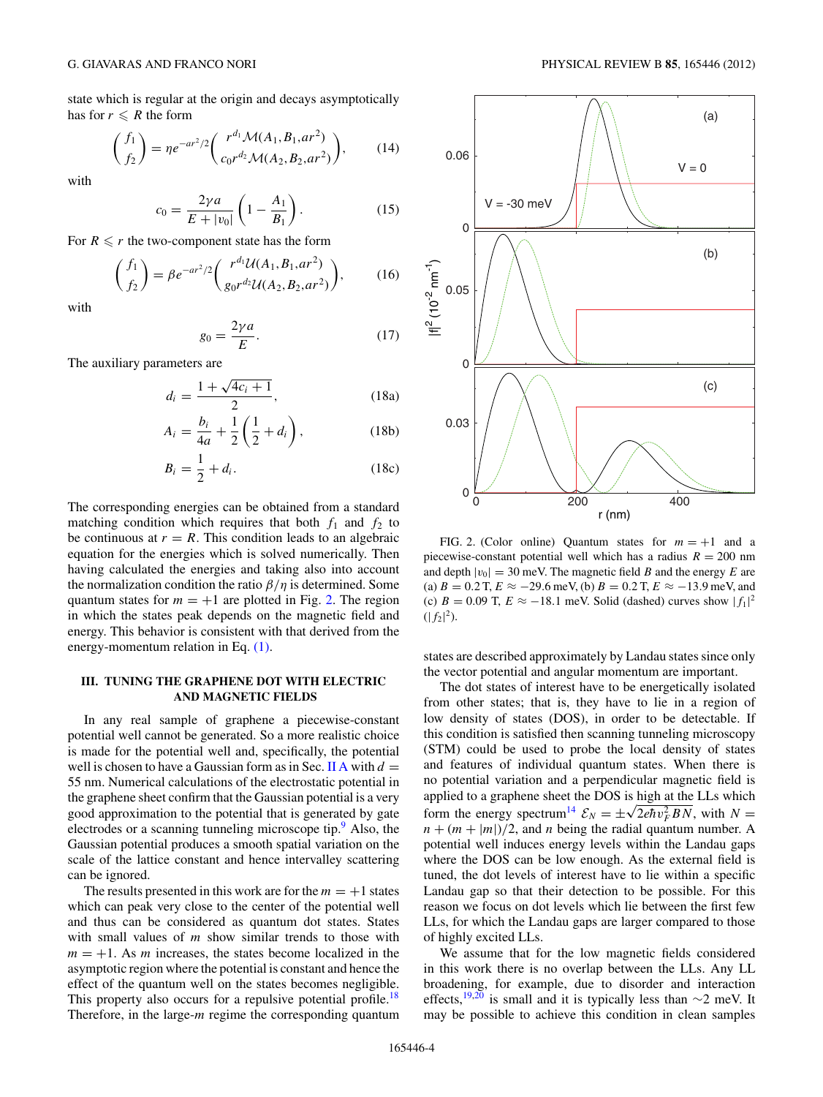<span id="page-3-0"></span>state which is regular at the origin and decays asymptotically has for  $r \le R$  the form

$$
\binom{f_1}{f_2} = \eta e^{-ar^2/2} \binom{r^{d_1} \mathcal{M}(A_1, B_1, ar^2)}{c_0 r^{d_2} \mathcal{M}(A_2, B_2, ar^2)},\tag{14}
$$

with

$$
c_0 = \frac{2\gamma a}{E + |v_0|} \left( 1 - \frac{A_1}{B_1} \right). \tag{15}
$$

For  $R \le r$  the two-component state has the form

$$
\binom{f_1}{f_2} = \beta e^{-ar^2/2} \binom{r^{d_1} \mathcal{U}(A_1, B_1, ar^2)}{g_0 r^{d_2} \mathcal{U}(A_2, B_2, ar^2)},
$$
(16)

with

$$
g_0 = \frac{2\gamma a}{E}.\tag{17}
$$

The auxiliary parameters are

$$
d_i = \frac{1 + \sqrt{4c_i + 1}}{2},
$$
 (18a)

$$
A_i = \frac{b_i}{4a} + \frac{1}{2} \left( \frac{1}{2} + d_i \right),
$$
 (18b)

$$
B_i = \frac{1}{2} + d_i. \tag{18c}
$$

The corresponding energies can be obtained from a standard matching condition which requires that both  $f_1$  and  $f_2$  to be continuous at  $r = R$ . This condition leads to an algebraic equation for the energies which is solved numerically. Then having calculated the energies and taking also into account the normalization condition the ratio *β/η* is determined. Some quantum states for  $m = +1$  are plotted in Fig. 2. The region in which the states peak depends on the magnetic field and energy. This behavior is consistent with that derived from the energy-momentum relation in Eq. [\(1\).](#page-1-0)

## **III. TUNING THE GRAPHENE DOT WITH ELECTRIC AND MAGNETIC FIELDS**

In any real sample of graphene a piecewise-constant potential well cannot be generated. So a more realistic choice is made for the potential well and, specifically, the potential well is chosen to have a Gaussian form as in Sec. [II A](#page-0-0) with  $d =$ 55 nm. Numerical calculations of the electrostatic potential in the graphene sheet confirm that the Gaussian potential is a very good approximation to the potential that is generated by gate electrodes or a scanning tunneling microscope tip.<sup>[9](#page-7-0)</sup> Also, the Gaussian potential produces a smooth spatial variation on the scale of the lattice constant and hence intervalley scattering can be ignored.

The results presented in this work are for the  $m = +1$  states which can peak very close to the center of the potential well and thus can be considered as quantum dot states. States with small values of *m* show similar trends to those with  $m = +1$ . As *m* increases, the states become localized in the asymptotic region where the potential is constant and hence the effect of the quantum well on the states becomes negligible. This property also occurs for a repulsive potential profile.<sup>18</sup> Therefore, in the large-*m* regime the corresponding quantum



FIG. 2. (Color online) Quantum states for  $m = +1$  and a piecewise-constant potential well which has a radius  $R = 200$  nm and depth  $|v_0| = 30$  meV. The magnetic field *B* and the energy *E* are (a) *B* = 0.2 T, *E* ≈ −29.6 meV, (b) *B* = 0.2 T, *E* ≈ −13.9 meV, and (c)  $B = 0.09$  T,  $E \approx -18.1$  meV. Solid (dashed) curves show  $|f_1|^2$  $(|f_2|^2)$ .

states are described approximately by Landau states since only the vector potential and angular momentum are important.

The dot states of interest have to be energetically isolated from other states; that is, they have to lie in a region of low density of states (DOS), in order to be detectable. If this condition is satisfied then scanning tunneling microscopy (STM) could be used to probe the local density of states and features of individual quantum states. When there is no potential variation and a perpendicular magnetic field is applied to a graphene sheet the DOS is high at the LLs which form the energy spectrum<sup>14</sup>  $\mathcal{E}_N = \pm \sqrt{2e\hbar v_F^2 B N}$ , with  $N =$  $n + (m + |m|)/2$ , and *n* being the radial quantum number. A potential well induces energy levels within the Landau gaps where the DOS can be low enough. As the external field is tuned, the dot levels of interest have to lie within a specific Landau gap so that their detection to be possible. For this reason we focus on dot levels which lie between the first few LLs, for which the Landau gaps are larger compared to those of highly excited LLs.

We assume that for the low magnetic fields considered in this work there is no overlap between the LLs. Any LL broadening, for example, due to disorder and interaction effects,<sup>19,20</sup> is small and it is typically less than ∼2 meV. It may be possible to achieve this condition in clean samples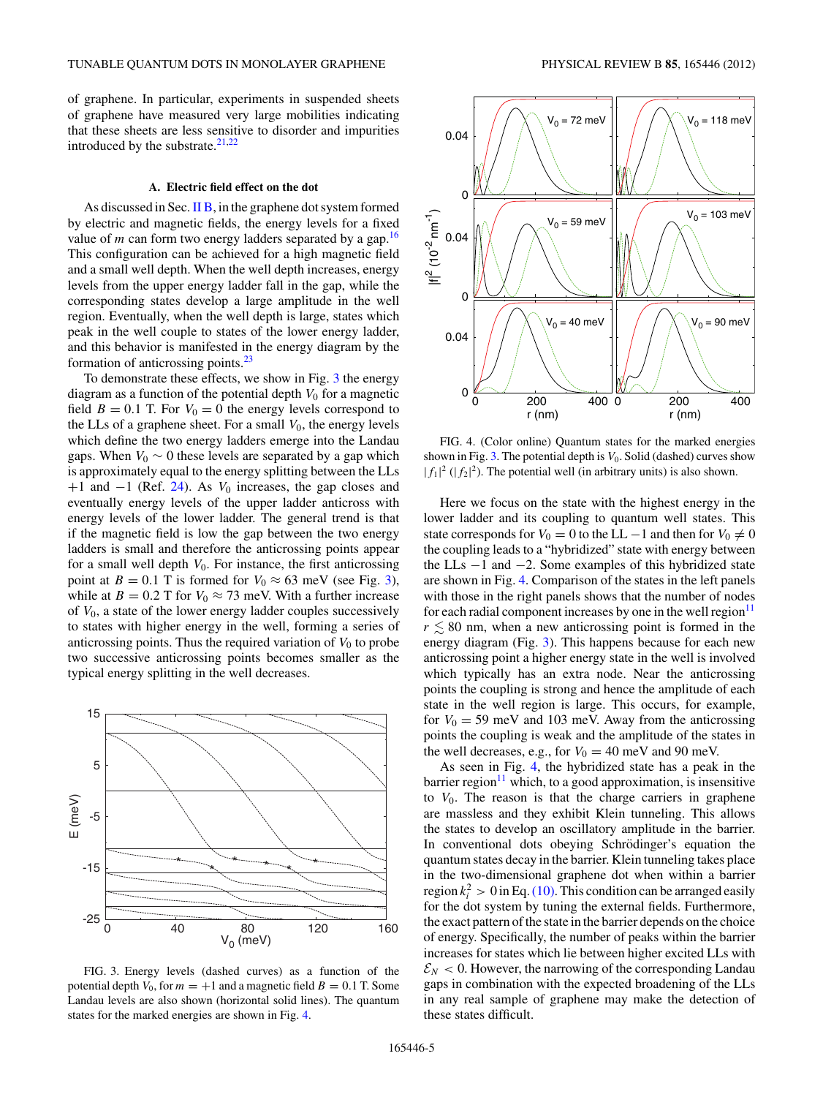<span id="page-4-0"></span>of graphene. In particular, experiments in suspended sheets of graphene have measured very large mobilities indicating that these sheets are less sensitive to disorder and impurities introduced by the substrate. $21,22$ 

#### **A. Electric field effect on the dot**

As discussed in Sec.  $\Pi$  B, in the graphene dot system formed by electric and magnetic fields, the energy levels for a fixed value of  $m$  can form two energy ladders separated by a gap.<sup>16</sup> This configuration can be achieved for a high magnetic field and a small well depth. When the well depth increases, energy levels from the upper energy ladder fall in the gap, while the corresponding states develop a large amplitude in the well region. Eventually, when the well depth is large, states which peak in the well couple to states of the lower energy ladder, and this behavior is manifested in the energy diagram by the formation of anticrossing points[.23](#page-7-0)

To demonstrate these effects, we show in Fig. 3 the energy diagram as a function of the potential depth  $V_0$  for a magnetic field  $B = 0.1$  T. For  $V_0 = 0$  the energy levels correspond to the LLs of a graphene sheet. For a small  $V_0$ , the energy levels which define the two energy ladders emerge into the Landau gaps. When  $V_0 \sim 0$  these levels are separated by a gap which is approximately equal to the energy splitting between the LLs +1 and −1 (Ref. [24\)](#page-7-0). As *V*<sup>0</sup> increases, the gap closes and eventually energy levels of the upper ladder anticross with energy levels of the lower ladder. The general trend is that if the magnetic field is low the gap between the two energy ladders is small and therefore the anticrossing points appear for a small well depth *V*0. For instance, the first anticrossing point at *B* = 0.1 T is formed for  $V_0 \approx 63$  meV (see Fig. 3), while at *B* = 0.2 T for  $V_0 \approx 73$  meV. With a further increase of *V*0, a state of the lower energy ladder couples successively to states with higher energy in the well, forming a series of anticrossing points. Thus the required variation of  $V_0$  to probe two successive anticrossing points becomes smaller as the typical energy splitting in the well decreases.



FIG. 3. Energy levels (dashed curves) as a function of the potential depth  $V_0$ , for  $m = +1$  and a magnetic field  $B = 0.1$  T. Some Landau levels are also shown (horizontal solid lines). The quantum states for the marked energies are shown in Fig. 4.



FIG. 4. (Color online) Quantum states for the marked energies shown in Fig.  $3$ . The potential depth is  $V_0$ . Solid (dashed) curves show  $|f_1|^2$  ( $|f_2|^2$ ). The potential well (in arbitrary units) is also shown.

Here we focus on the state with the highest energy in the lower ladder and its coupling to quantum well states. This state corresponds for  $V_0 = 0$  to the LL  $-1$  and then for  $V_0 \neq 0$ the coupling leads to a "hybridized" state with energy between the LLs −1 and −2. Some examples of this hybridized state are shown in Fig. 4. Comparison of the states in the left panels with those in the right panels shows that the number of nodes for each radial component increases by one in the well region $11$  $r \lesssim 80$  nm, when a new anticrossing point is formed in the energy diagram (Fig. 3). This happens because for each new anticrossing point a higher energy state in the well is involved which typically has an extra node. Near the anticrossing points the coupling is strong and hence the amplitude of each state in the well region is large. This occurs, for example, for  $V_0 = 59$  meV and 103 meV. Away from the anticrossing points the coupling is weak and the amplitude of the states in the well decreases, e.g., for  $V_0 = 40$  meV and 90 meV.

As seen in Fig. 4, the hybridized state has a peak in the  $barrier region<sup>11</sup>$  which, to a good approximation, is insensitive to *V*0. The reason is that the charge carriers in graphene are massless and they exhibit Klein tunneling. This allows the states to develop an oscillatory amplitude in the barrier. In conventional dots obeying Schrödinger's equation the quantum states decay in the barrier. Klein tunneling takes place in the two-dimensional graphene dot when within a barrier region  $k_i^2 > 0$  in Eq. [\(10\).](#page-2-0) This condition can be arranged easily for the dot system by tuning the external fields. Furthermore, the exact pattern of the state in the barrier depends on the choice of energy. Specifically, the number of peaks within the barrier increases for states which lie between higher excited LLs with  $\mathcal{E}_N$  < 0. However, the narrowing of the corresponding Landau gaps in combination with the expected broadening of the LLs in any real sample of graphene may make the detection of these states difficult.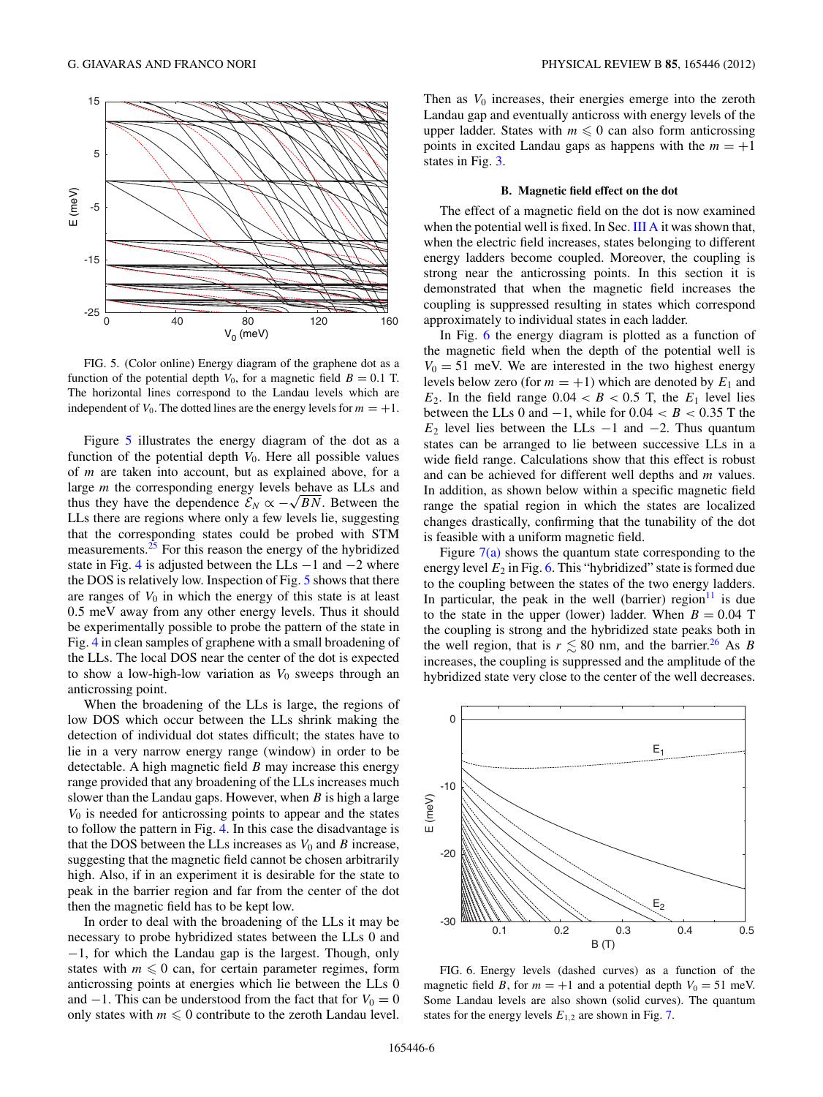<span id="page-5-0"></span>

FIG. 5. (Color online) Energy diagram of the graphene dot as a function of the potential depth  $V_0$ , for a magnetic field  $B = 0.1$  T. The horizontal lines correspond to the Landau levels which are independent of  $V_0$ . The dotted lines are the energy levels for  $m = +1$ .

Figure 5 illustrates the energy diagram of the dot as a function of the potential depth  $V_0$ . Here all possible values of *m* are taken into account, but as explained above, for a large *m* the corresponding energy levels behave as LLs and thus they have the dependence  $\mathcal{E}_N \propto -\sqrt{BN}$ . Between the LLs there are regions where only a few levels lie, suggesting that the corresponding states could be probed with STM measurements.<sup>25</sup> For this reason the energy of the hybridized state in Fig. [4](#page-4-0) is adjusted between the LLs  $-1$  and  $-2$  where the DOS is relatively low. Inspection of Fig. 5 shows that there are ranges of  $V_0$  in which the energy of this state is at least 0*.*5 meV away from any other energy levels. Thus it should be experimentally possible to probe the pattern of the state in Fig. [4](#page-4-0) in clean samples of graphene with a small broadening of the LLs. The local DOS near the center of the dot is expected to show a low-high-low variation as  $V_0$  sweeps through an anticrossing point.

When the broadening of the LLs is large, the regions of low DOS which occur between the LLs shrink making the detection of individual dot states difficult; the states have to lie in a very narrow energy range (window) in order to be detectable. A high magnetic field *B* may increase this energy range provided that any broadening of the LLs increases much slower than the Landau gaps. However, when *B* is high a large *V*<sup>0</sup> is needed for anticrossing points to appear and the states to follow the pattern in Fig. [4.](#page-4-0) In this case the disadvantage is that the DOS between the LLs increases as  $V_0$  and *B* increase, suggesting that the magnetic field cannot be chosen arbitrarily high. Also, if in an experiment it is desirable for the state to peak in the barrier region and far from the center of the dot then the magnetic field has to be kept low.

In order to deal with the broadening of the LLs it may be necessary to probe hybridized states between the LLs 0 and −1, for which the Landau gap is the largest. Though, only states with  $m \leq 0$  can, for certain parameter regimes, form anticrossing points at energies which lie between the LLs 0 and  $-1$ . This can be understood from the fact that for  $V_0 = 0$ only states with  $m \leq 0$  contribute to the zeroth Landau level.

Then as  $V_0$  increases, their energies emerge into the zeroth Landau gap and eventually anticross with energy levels of the upper ladder. States with  $m \leq 0$  can also form anticrossing points in excited Landau gaps as happens with the  $m = +1$ states in Fig. [3.](#page-4-0)

#### **B. Magnetic field effect on the dot**

The effect of a magnetic field on the dot is now examined when the potential well is fixed. In Sec. [III A](#page-4-0) it was shown that, when the electric field increases, states belonging to different energy ladders become coupled. Moreover, the coupling is strong near the anticrossing points. In this section it is demonstrated that when the magnetic field increases the coupling is suppressed resulting in states which correspond approximately to individual states in each ladder.

In Fig. 6 the energy diagram is plotted as a function of the magnetic field when the depth of the potential well is  $V_0 = 51$  meV. We are interested in the two highest energy levels below zero (for  $m = +1$ ) which are denoted by  $E_1$  and  $E_2$ . In the field range  $0.04 < B < 0.5$  T, the  $E_1$  level lies between the LLs 0 and  $-1$ , while for  $0.04 < B < 0.35$  T the  $E_2$  level lies between the LLs  $-1$  and  $-2$ . Thus quantum states can be arranged to lie between successive LLs in a wide field range. Calculations show that this effect is robust and can be achieved for different well depths and *m* values. In addition, as shown below within a specific magnetic field range the spatial region in which the states are localized changes drastically, confirming that the tunability of the dot is feasible with a uniform magnetic field.

Figure  $7(a)$  shows the quantum state corresponding to the energy level  $E_2$  in Fig. 6. This "hybridized" state is formed due to the coupling between the states of the two energy ladders. In particular, the peak in the well (barrier) region<sup>11</sup> is due to the state in the upper (lower) ladder. When  $B = 0.04$  T the coupling is strong and the hybridized state peaks both in the well region, that is  $r \leq 80$  nm, and the barrier.<sup>[26](#page-7-0)</sup> As *B* increases, the coupling is suppressed and the amplitude of the hybridized state very close to the center of the well decreases.



FIG. 6. Energy levels (dashed curves) as a function of the magnetic field *B*, for  $m = +1$  and a potential depth  $V_0 = 51$  meV. Some Landau levels are also shown (solid curves). The quantum states for the energy levels  $E_{1,2}$  are shown in Fig. [7.](#page-6-0)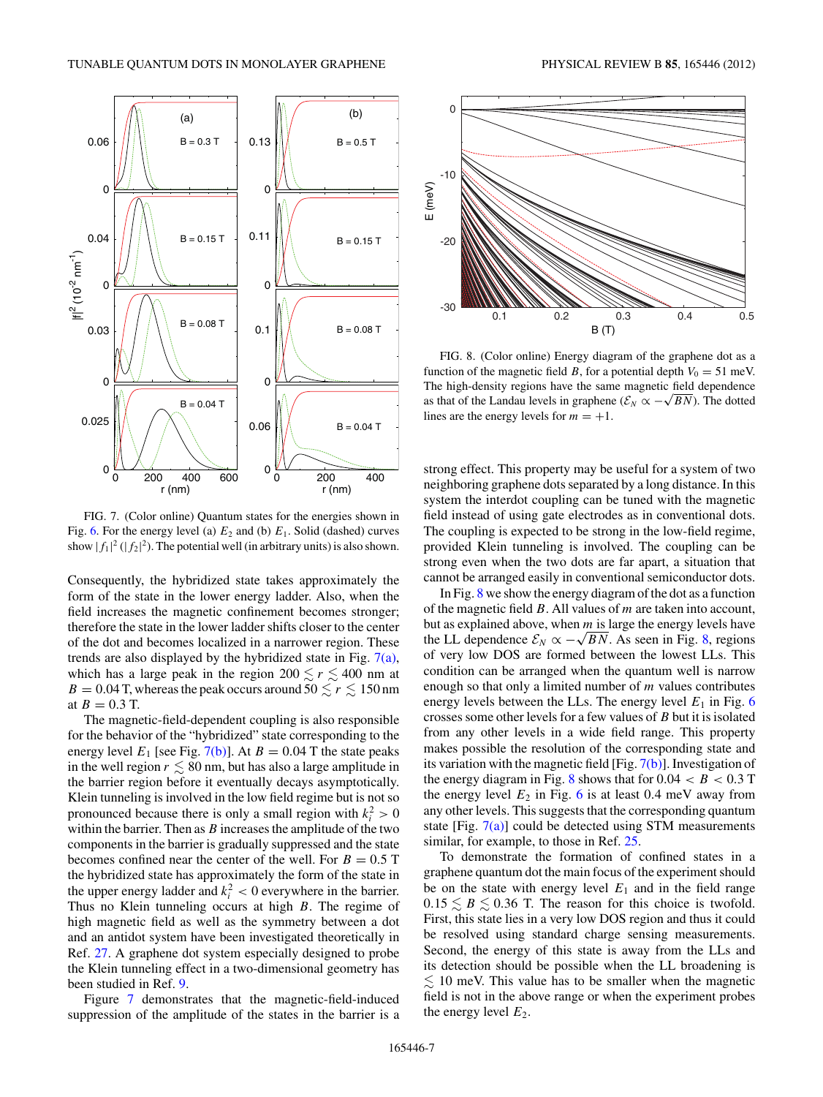<span id="page-6-0"></span>

FIG. 7. (Color online) Quantum states for the energies shown in Fig. [6.](#page-5-0) For the energy level (a)  $E_2$  and (b)  $E_1$ . Solid (dashed) curves show  $|f_1|^2 (|f_2|^2)$ . The potential well (in arbitrary units) is also shown.

Consequently, the hybridized state takes approximately the form of the state in the lower energy ladder. Also, when the field increases the magnetic confinement becomes stronger; therefore the state in the lower ladder shifts closer to the center of the dot and becomes localized in a narrower region. These trends are also displayed by the hybridized state in Fig. 7(a), which has a large peak in the region  $200 \le r \le 400$  nm at  $B = 0.04$  T, whereas the peak occurs around  $50 \lesssim r \lesssim 150$  nm at  $B = 0.3$  T.

The magnetic-field-dependent coupling is also responsible for the behavior of the "hybridized" state corresponding to the energy level  $E_1$  [see Fig. 7(b)]. At  $B = 0.04$  T the state peaks in the well region  $r \lesssim 80$  nm, but has also a large amplitude in the barrier region before it eventually decays asymptotically. Klein tunneling is involved in the low field regime but is not so pronounced because there is only a small region with  $k_i^2 > 0$ within the barrier. Then as *B* increases the amplitude of the two components in the barrier is gradually suppressed and the state becomes confined near the center of the well. For  $B = 0.5$  T the hybridized state has approximately the form of the state in the upper energy ladder and  $k_i^2 < 0$  everywhere in the barrier. Thus no Klein tunneling occurs at high *B*. The regime of high magnetic field as well as the symmetry between a dot and an antidot system have been investigated theoretically in Ref. [27.](#page-7-0) A graphene dot system especially designed to probe the Klein tunneling effect in a two-dimensional geometry has been studied in Ref. [9.](#page-7-0)

Figure 7 demonstrates that the magnetic-field-induced suppression of the amplitude of the states in the barrier is a



FIG. 8. (Color online) Energy diagram of the graphene dot as a function of the magnetic field *B*, for a potential depth  $V_0 = 51$  meV. The high-density regions have the same magnetic field dependence as that of the Landau levels in graphene ( $\mathcal{E}_N \propto -\sqrt{BN}$ ). The dotted lines are the energy levels for  $m = +1$ .

strong effect. This property may be useful for a system of two neighboring graphene dots separated by a long distance. In this system the interdot coupling can be tuned with the magnetic field instead of using gate electrodes as in conventional dots. The coupling is expected to be strong in the low-field regime, provided Klein tunneling is involved. The coupling can be strong even when the two dots are far apart, a situation that cannot be arranged easily in conventional semiconductor dots.

In Fig. 8 we show the energy diagram of the dot as a function of the magnetic field *B*. All values of *m* are taken into account, but as explained above, when *m* is large the energy levels have the LL dependence  $\mathcal{E}_N \propto -\sqrt{BN}$ . As seen in Fig. 8, regions of very low DOS are formed between the lowest LLs. This condition can be arranged when the quantum well is narrow enough so that only a limited number of *m* values contributes energy levels between the LLs. The energy level  $E_1$  in Fig. [6](#page-5-0) crosses some other levels for a few values of *B* but it is isolated from any other levels in a wide field range. This property makes possible the resolution of the corresponding state and its variation with the magnetic field [Fig. 7(b)]. Investigation of the energy diagram in Fig. 8 shows that for  $0.04 < B < 0.3$  T the energy level  $E_2$  in Fig. [6](#page-5-0) is at least 0.4 meV away from any other levels. This suggests that the corresponding quantum state [Fig.  $7(a)$ ] could be detected using STM measurements similar, for example, to those in Ref. [25.](#page-7-0)

To demonstrate the formation of confined states in a graphene quantum dot the main focus of the experiment should be on the state with energy level  $E_1$  and in the field range  $0.15 \leq B \leq 0.36$  T. The reason for this choice is twofold. First, this state lies in a very low DOS region and thus it could be resolved using standard charge sensing measurements. Second, the energy of this state is away from the LLs and its detection should be possible when the LL broadening is  $\leq 10$  meV. This value has to be smaller when the magnetic field is not in the above range or when the experiment probes the energy level  $E_2$ .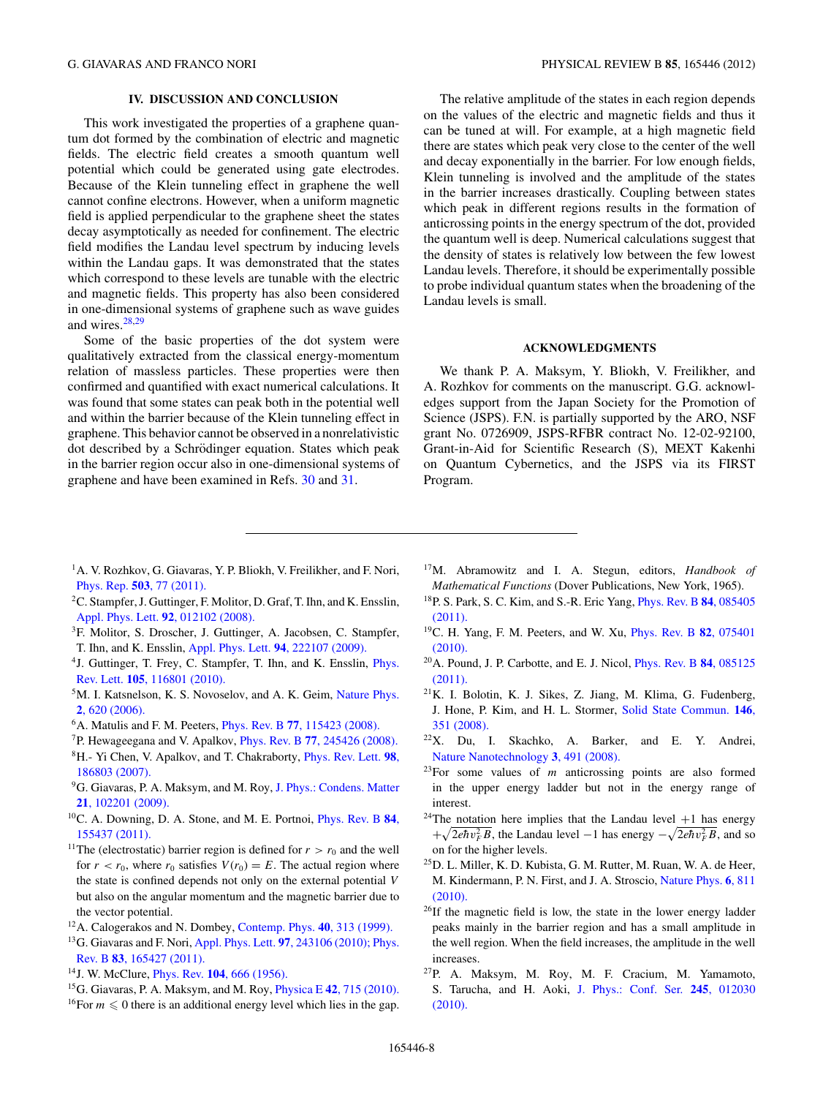# **IV. DISCUSSION AND CONCLUSION**

<span id="page-7-0"></span>This work investigated the properties of a graphene quantum dot formed by the combination of electric and magnetic fields. The electric field creates a smooth quantum well potential which could be generated using gate electrodes. Because of the Klein tunneling effect in graphene the well cannot confine electrons. However, when a uniform magnetic field is applied perpendicular to the graphene sheet the states decay asymptotically as needed for confinement. The electric field modifies the Landau level spectrum by inducing levels within the Landau gaps. It was demonstrated that the states which correspond to these levels are tunable with the electric and magnetic fields. This property has also been considered in one-dimensional systems of graphene such as wave guides and wires. $28,29$ 

Some of the basic properties of the dot system were qualitatively extracted from the classical energy-momentum relation of massless particles. These properties were then confirmed and quantified with exact numerical calculations. It was found that some states can peak both in the potential well and within the barrier because of the Klein tunneling effect in graphene. This behavior cannot be observed in a nonrelativistic dot described by a Schrödinger equation. States which peak in the barrier region occur also in one-dimensional systems of graphene and have been examined in Refs. [30](#page-8-0) and [31.](#page-8-0)

The relative amplitude of the states in each region depends on the values of the electric and magnetic fields and thus it can be tuned at will. For example, at a high magnetic field there are states which peak very close to the center of the well and decay exponentially in the barrier. For low enough fields, Klein tunneling is involved and the amplitude of the states in the barrier increases drastically. Coupling between states which peak in different regions results in the formation of anticrossing points in the energy spectrum of the dot, provided the quantum well is deep. Numerical calculations suggest that the density of states is relatively low between the few lowest Landau levels. Therefore, it should be experimentally possible to probe individual quantum states when the broadening of the Landau levels is small.

#### **ACKNOWLEDGMENTS**

We thank P. A. Maksym, Y. Bliokh, V. Freilikher, and A. Rozhkov for comments on the manuscript. G.G. acknowledges support from the Japan Society for the Promotion of Science (JSPS). F.N. is partially supported by the ARO, NSF grant No. 0726909, JSPS-RFBR contract No. 12-02-92100, Grant-in-Aid for Scientific Research (S), MEXT Kakenhi on Quantum Cybernetics, and the JSPS via its FIRST Program.

- <sup>1</sup>A. V. Rozhkov, G. Giavaras, Y. P. Bliokh, V. Freilikher, and F. Nori, Phys. Rep. **503**[, 77 \(2011\).](http://dx.doi.org/10.1016/j.physrep.2011.02.002)
- 2C. Stampfer, J. Guttinger, F. Molitor, D. Graf, T. Ihn, and K. Ensslin, [Appl. Phys. Lett.](http://dx.doi.org/10.1063/1.2827188) **92**, 012102 (2008).
- 3F. Molitor, S. Droscher, J. Guttinger, A. Jacobsen, C. Stampfer, T. Ihn, and K. Ensslin, [Appl. Phys. Lett.](http://dx.doi.org/10.1063/1.3148367) **94**, 222107 (2009).
- 4J. Guttinger, T. Frey, C. Stampfer, T. Ihn, and K. Ensslin, [Phys.](http://dx.doi.org/10.1103/PhysRevLett.105.116801) Rev. Lett. **105**[, 116801 \(2010\).](http://dx.doi.org/10.1103/PhysRevLett.105.116801)
- <sup>5</sup>M. I. Katsnelson, K. S. Novoselov, and A. K. Geim, [Nature Phys.](http://dx.doi.org/10.1038/nphys384) **2**[, 620 \(2006\).](http://dx.doi.org/10.1038/nphys384)
- 6A. Matulis and F. M. Peeters, Phys. Rev. B **77**[, 115423 \(2008\).](http://dx.doi.org/10.1103/PhysRevB.77.115423)
- 7P. Hewageegana and V. Apalkov, Phys. Rev. B **77**[, 245426 \(2008\).](http://dx.doi.org/10.1103/PhysRevB.77.245426)
- 8H.- Yi Chen, V. Apalkov, and T. Chakraborty, [Phys. Rev. Lett.](http://dx.doi.org/10.1103/PhysRevLett.98.186803) **98**, [186803 \(2007\).](http://dx.doi.org/10.1103/PhysRevLett.98.186803)
- 9G. Giavaras, P. A. Maksym, and M. Roy, [J. Phys.: Condens. Matter](http://dx.doi.org/10.1088/0953-8984/21/10/102201) **21**[, 102201 \(2009\).](http://dx.doi.org/10.1088/0953-8984/21/10/102201)
- 10C. A. Downing, D. A. Stone, and M. E. Portnoi, [Phys. Rev. B](http://dx.doi.org/10.1103/PhysRevB.84.155437) **84**, [155437 \(2011\).](http://dx.doi.org/10.1103/PhysRevB.84.155437)
- <sup>11</sup>The (electrostatic) barrier region is defined for  $r > r_0$  and the well for  $r < r_0$ , where  $r_0$  satisfies  $V(r_0) = E$ . The actual region where the state is confined depends not only on the external potential *V* but also on the angular momentum and the magnetic barrier due to the vector potential.
- 12A. Calogerakos and N. Dombey, [Contemp. Phys.](http://dx.doi.org/10.1080/001075199181387) **40**, 313 (1999).
- 13G. Giavaras and F. Nori, Appl. Phys. Lett. **97**[, 243106 \(2010\);](http://dx.doi.org/10.1063/1.3525858) [Phys.](http://dx.doi.org/10.1103/PhysRevB.83.165427) Rev. B **83**[, 165427 \(2011\).](http://dx.doi.org/10.1103/PhysRevB.83.165427)
- 14J. W. McClure, Phys. Rev. **104**[, 666 \(1956\).](http://dx.doi.org/10.1103/PhysRev.104.666)
- 15G. Giavaras, P. A. Maksym, and M. Roy, Physica E **42**[, 715 \(2010\).](http://dx.doi.org/10.1016/j.physe.2009.11.013) <sup>16</sup>For  $m \leq 0$  there is an additional energy level which lies in the gap.
- 17M. Abramowitz and I. A. Stegun, editors, *Handbook of Mathematical Functions* (Dover Publications, New York, 1965).
- 18P. S. Park, S. C. Kim, and S.-R. Eric Yang, [Phys. Rev. B](http://dx.doi.org/10.1103/PhysRevB.84.085405) **84**, 085405 [\(2011\).](http://dx.doi.org/10.1103/PhysRevB.84.085405)
- 19C. H. Yang, F. M. Peeters, and W. Xu, [Phys. Rev. B](http://dx.doi.org/10.1103/PhysRevB.82.075401) **82**, 075401 [\(2010\).](http://dx.doi.org/10.1103/PhysRevB.82.075401)
- 20A. Pound, J. P. Carbotte, and E. J. Nicol, [Phys. Rev. B](http://dx.doi.org/10.1103/PhysRevB.84.085125) **84**, 085125 [\(2011\).](http://dx.doi.org/10.1103/PhysRevB.84.085125)
- $21$ K. I. Bolotin, K. J. Sikes, Z. Jiang, M. Klima, G. Fudenberg, J. Hone, P. Kim, and H. L. Stormer, [Solid State Commun.](http://dx.doi.org/10.1016/j.ssc.2008.02.024) **146**, [351 \(2008\).](http://dx.doi.org/10.1016/j.ssc.2008.02.024)
- 22X. Du, I. Skachko, A. Barker, and E. Y. Andrei, [Nature Nanotechnology](http://dx.doi.org/10.1038/nnano.2008.199) **3**, 491 (2008).
- 23For some values of *m* anticrossing points are also formed in the upper energy ladder but not in the energy range of interest.
- <sup>24</sup>The notation here implies that the Landau level  $+1$  has energy  $+\sqrt{2e\hbar v_F^2 B}$ , the Landau level  $-1$  has energy  $-\sqrt{2e\hbar v_F^2 B}$ , and so on for the higher levels.
- 25D. L. Miller, K. D. Kubista, G. M. Rutter, M. Ruan, W. A. de Heer, M. Kindermann, P. N. First, and J. A. Stroscio, [Nature Phys.](http://dx.doi.org/10.1038/nphys1736) **6**, 811 [\(2010\).](http://dx.doi.org/10.1038/nphys1736)
- 26If the magnetic field is low, the state in the lower energy ladder peaks mainly in the barrier region and has a small amplitude in the well region. When the field increases, the amplitude in the well increases.
- 27P. A. Maksym, M. Roy, M. F. Cracium, M. Yamamoto, S. Tarucha, and H. Aoki, [J. Phys.: Conf. Ser.](http://dx.doi.org/10.1088/1742-6596/245/1/012030) **245**, 012030 [\(2010\).](http://dx.doi.org/10.1088/1742-6596/245/1/012030)